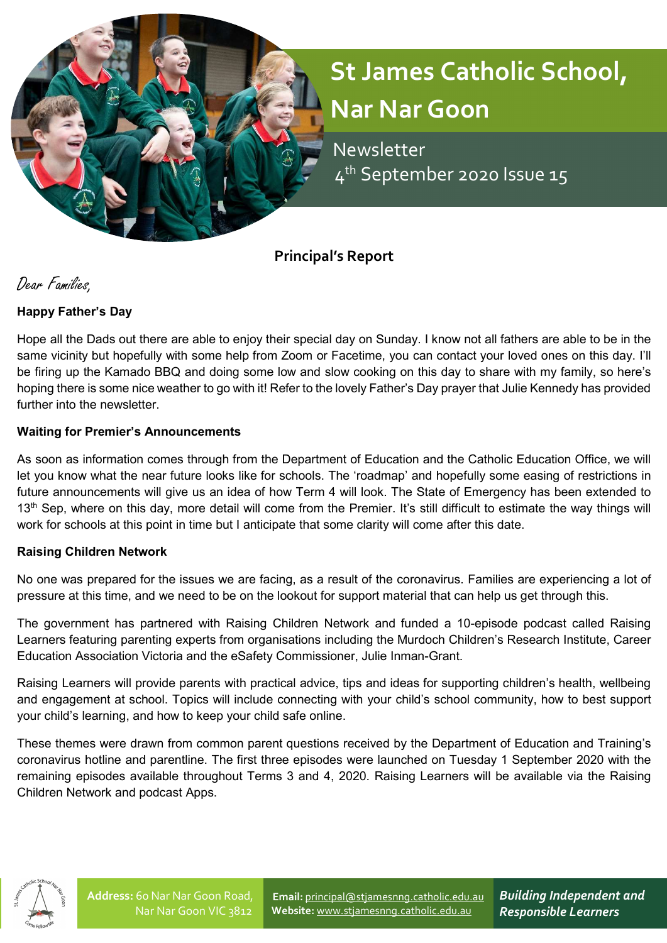

 Newsletter 4<sup>th</sup> September 2020 Issue 15

Principal's Report

Dear Families,

## Happy Father's Day

Hope all the Dads out there are able to enjoy their special day on Sunday. I know not all fathers are able to be in the same vicinity but hopefully with some help from Zoom or Facetime, you can contact your loved ones on this day. I'll be firing up the Kamado BBQ and doing some low and slow cooking on this day to share with my family, so here's hoping there is some nice weather to go with it! Refer to the lovely Father's Day prayer that Julie Kennedy has provided further into the newsletter.

## Waiting for Premier's Announcements

As soon as information comes through from the Department of Education and the Catholic Education Office, we will let you know what the near future looks like for schools. The 'roadmap' and hopefully some easing of restrictions in future announcements will give us an idea of how Term 4 will look. The State of Emergency has been extended to 13<sup>th</sup> Sep, where on this day, more detail will come from the Premier. It's still difficult to estimate the way things will work for schools at this point in time but I anticipate that some clarity will come after this date.

## Raising Children Network

No one was prepared for the issues we are facing, as a result of the coronavirus. Families are experiencing a lot of pressure at this time, and we need to be on the lookout for support material that can help us get through this.

The government has partnered with Raising Children Network and funded a 10-episode podcast called Raising Learners featuring parenting experts from organisations including the Murdoch Children's Research Institute, Career Education Association Victoria and the eSafety Commissioner, Julie Inman-Grant.

Raising Learners will provide parents with practical advice, tips and ideas for supporting children's health, wellbeing and engagement at school. Topics will include connecting with your child's school community, how to best support your child's learning, and how to keep your child safe online.

These themes were drawn from common parent questions received by the Department of Education and Training's coronavirus hotline and parentline. The first three episodes were launched on Tuesday 1 September 2020 with the remaining episodes available throughout Terms 3 and 4, 2020. Raising Learners will be available via the Raising Children Network and podcast Apps.



Email: principal@stjamesnng.catholic.edu.au Website: www.stjamesnng.catholic.edu.au

Building Independent and Responsible Learners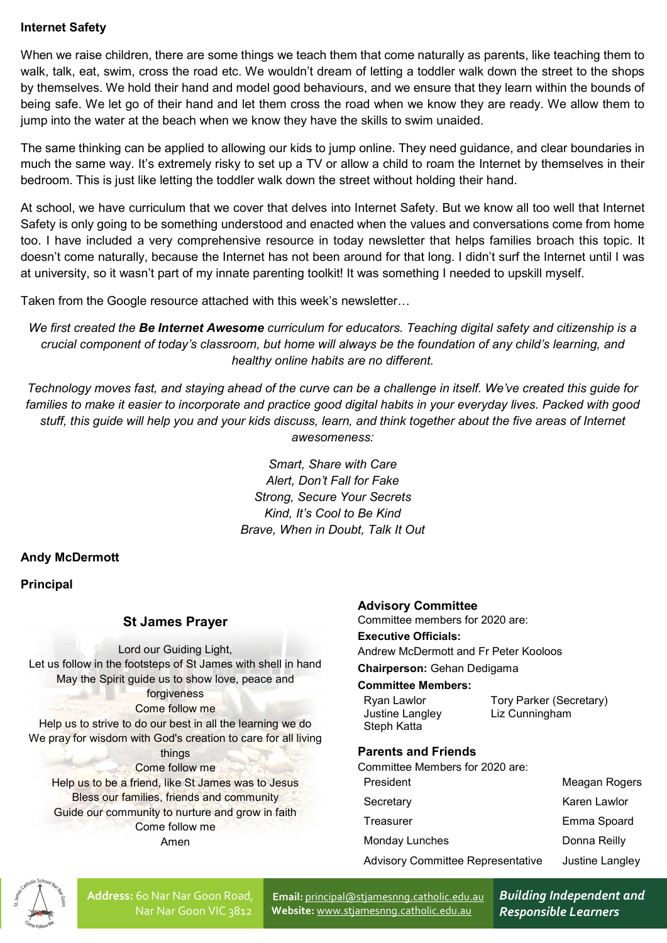## Internet Safety

When we raise children, there are some things we teach them that come naturally as parents, like teaching them to walk, talk, eat, swim, cross the road etc. We wouldn't dream of letting a toddler walk down the street to the shops by themselves. We hold their hand and model good behaviours, and we ensure that they learn within the bounds of being safe. We let go of their hand and let them cross the road when we know they are ready. We allow them to jump into the water at the beach when we know they have the skills to swim unaided.

The same thinking can be applied to allowing our kids to jump online. They need guidance, and clear boundaries in much the same way. It's extremely risky to set up a TV or allow a child to roam the Internet by themselves in their bedroom. This is just like letting the toddler walk down the street without holding their hand.

At school, we have curriculum that we cover that delves into Internet Safety. But we know all too well that Internet Safety is only going to be something understood and enacted when the values and conversations come from home too. I have included a very comprehensive resource in today newsletter that helps families broach this topic. It doesn't come naturally, because the Internet has not been around for that long. I didn't surf the Internet until I was at university, so it wasn't part of my innate parenting toolkit! It was something I needed to upskill myself.

Taken from the Google resource attached with this week's newsletter…

We first created the Be Internet Awesome curriculum for educators. Teaching digital safety and citizenship is a crucial component of today's classroom, but home will always be the foundation of any child's learning, and healthy online habits are no different.

Technology moves fast, and staying ahead of the curve can be a challenge in itself. We've created this guide for families to make it easier to incorporate and practice good digital habits in your everyday lives. Packed with good stuff, this guide will help you and your kids discuss, learn, and think together about the five areas of Internet awesomeness:

> Smart, Share with Care Alert, Don't Fall for Fake Strong, Secure Your Secrets Kind, It's Cool to Be Kind Brave, When in Doubt, Talk It Out

## Andy McDermott

**Principal** 

## St James Prayer

Lord our Guiding Light, Let us follow in the footsteps of St James with shell in hand May the Spirit guide us to show love, peace and forgiveness Come follow me Help us to strive to do our best in all the learning we do We pray for wisdom with God's creation to care for all living things Come follow me Help us to be a friend, like St James was to Jesus Bless our families, friends and community Guide our community to nurture and grow in faith Come follow me Amen

#### Advisory Committee

Committee members for 2020 are:

#### Executive Officials:

Andrew McDermott and Fr Peter Kooloos

## Chairperson: Gehan Dedigama

#### Committee Members:

| Ryan Lawlor     | Tory Parker (Secretary) |
|-----------------|-------------------------|
| Justine Langley | Liz Cunningham          |
| Steph Katta     |                         |

## Parents and Friends

Committee Members for 2020 are:

| President                                | Meagan Rogers   |
|------------------------------------------|-----------------|
| Secretary                                | Karen Lawlor    |
| Treasurer                                | Emma Spoard     |
| Monday Lunches                           | Donna Reilly    |
| <b>Advisory Committee Representative</b> | Justine Langley |
|                                          |                 |



Address: 60 Nar Nar Goon Road, Nar Nar Goon VIC 3812

Email: principal@stjamesnng.catholic.edu.au Website: www.stjamesnng.catholic.edu.au

Building Independent and Responsible Learners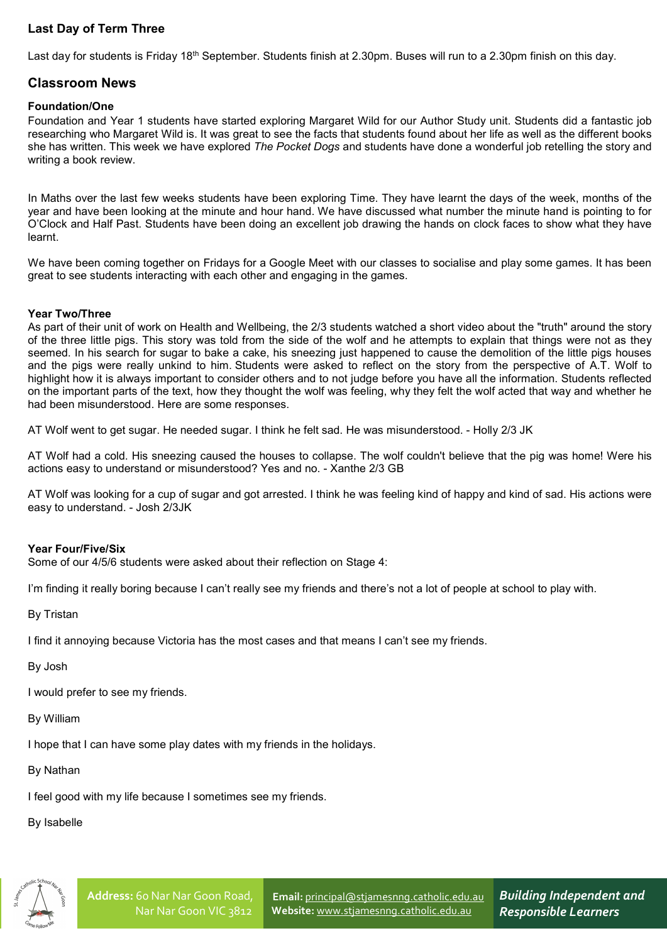# Last Day of Term Three

Last day for students is Friday 18<sup>th</sup> September. Students finish at 2.30pm. Buses will run to a 2.30pm finish on this day.

### Classroom News

#### Foundation/One

Foundation and Year 1 students have started exploring Margaret Wild for our Author Study unit. Students did a fantastic job researching who Margaret Wild is. It was great to see the facts that students found about her life as well as the different books she has written. This week we have explored The Pocket Dogs and students have done a wonderful job retelling the story and writing a book review.

In Maths over the last few weeks students have been exploring Time. They have learnt the days of the week, months of the year and have been looking at the minute and hour hand. We have discussed what number the minute hand is pointing to for O'Clock and Half Past. Students have been doing an excellent job drawing the hands on clock faces to show what they have learnt.

We have been coming together on Fridays for a Google Meet with our classes to socialise and play some games. It has been great to see students interacting with each other and engaging in the games.

#### Year Two/Three

As part of their unit of work on Health and Wellbeing, the 2/3 students watched a short video about the "truth" around the story of the three little pigs. This story was told from the side of the wolf and he attempts to explain that things were not as they seemed. In his search for sugar to bake a cake, his sneezing just happened to cause the demolition of the little pigs houses and the pigs were really unkind to him. Students were asked to reflect on the story from the perspective of A.T. Wolf to highlight how it is always important to consider others and to not judge before you have all the information. Students reflected on the important parts of the text, how they thought the wolf was feeling, why they felt the wolf acted that way and whether he had been misunderstood. Here are some responses.

AT Wolf went to get sugar. He needed sugar. I think he felt sad. He was misunderstood. - Holly 2/3 JK

AT Wolf had a cold. His sneezing caused the houses to collapse. The wolf couldn't believe that the pig was home! Were his actions easy to understand or misunderstood? Yes and no. - Xanthe 2/3 GB

AT Wolf was looking for a cup of sugar and got arrested. I think he was feeling kind of happy and kind of sad. His actions were easy to understand. - Josh 2/3JK

#### Year Four/Five/Six

Some of our 4/5/6 students were asked about their reflection on Stage 4:

I'm finding it really boring because I can't really see my friends and there's not a lot of people at school to play with.

By Tristan

I find it annoying because Victoria has the most cases and that means I can't see my friends.

By Josh

I would prefer to see my friends.

By William

I hope that I can have some play dates with my friends in the holidays.

By Nathan

I feel good with my life because I sometimes see my friends.

By Isabelle



Email: principal@stjamesnng.catholic.edu.au Website: www.stjamesnng.catholic.edu.au

Building Independent and Responsible Learners